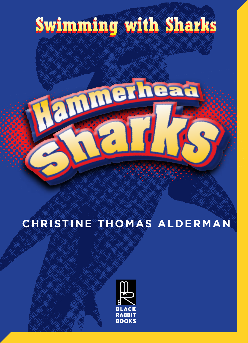

## **CHRISTINE THOMAS ALDERMAN**

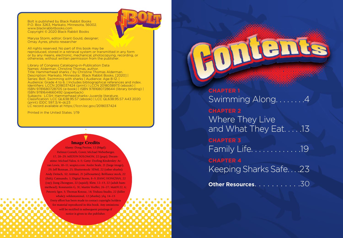Bolt is published by Black Rabbit Books P.O. Box 3263, Mankato, Minnesota, 56002. www.blackrabbitbooks.com Copyright © 2020 Black Rabbit Books



Marysa Storm, editor; Grant Gould, designer; Omay Ayres, photo researcher

All rights reserved. No part of this book may be reproduced, stored in a retrieval system or transmitted in any form or by any means, electronic, mechanical, photocopying, recording, or otherwise, without written permission from the publisher.

Library of Congress Cataloging-in-Publication Data Names: Alderman, Christine Thomas, author. Title: Hammerhead sharks / by Christine Thomas Alderman. Description: Mankato, Minnesota : Black Rabbit Books, [2020] | Series: Bolt. Swimming with sharks | Audience: Age 8-12. | Audience: Grade 4 to 6. | Includes bibliographical references and index. Identifiers: LCCN 2018037424 (print) | LCCN 2018038973 (ebook) | ISBN 9781680728705 (e-book) | ISBN 9781680728644 (library binding) | ISBN 9781644660492 (paperback) Subjects: LCSH: Hammerhead sharks–Juvenile literature. Classification: LCC QL638.95.S7 (ebook) | LCC QL638.95.S7 A43 2020 (print) |DDC 597.3/4–dc23 LC record available at https://lccn.loc.gov/2018037424

Printed in the United States. 1/19

## Image Credits

Alamy: Doug Perrine, 12 (bkgd); Helmut Corneli, Cover; Michael Weberberger, 17, 28–29; MILTON SOLOMON, 22 (pup); Dream stime: Michael Valos, 4–5; Getty: Dorling Kindersley: Ar ran Lewis, 10–11; seapics.com: Andre Seale, 21 (large image), 29; Jeff Rotman, 25; Shutterstock: 3DMI, 22 (other sharks); Andy Deitsch, 32; ArtMari, 21 (silhouettes); Brilliance stock, 22 (fish); Catmando, 1; Digital Storm, 8–9; JIANG HONGYAN, 22 (ray); Jiang Zhongyan, 22 (squid); Kletr, 12–13, 22 (adult ham merhead); Konstantin G, 31; Martin Voeller, 26–27; Matt9122, 6; Petrovic Igor, 3; Thomas Kotouc, 18; Triduza Studio, 22 (killer whale); wildestanimal, 12 (sharks); ylq, 14-15

Every effort has been made to contact copyright holders for material reproduced in this book. Any omissions will be rectified in subsequent printings if notice is given to the publisher.

**CHAPTER 1** Swimming Along. . **CHAPTER 2** Where They Live and What They Eat. . . . .13 **CHAPTER 3** Family Life. . . . . . . . . . . . .19 **CHAPTER 4** Keeping Sharks Safe. . . .23

ent

**Other Resources.** . . . . . . . . . . 30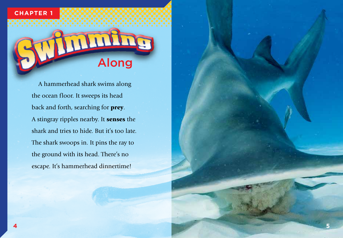## **CHAPTER 1**



A hammerhead shark swims along the ocean floor. It sweeps its head back and forth, searching for prey. A stingray ripples nearby. It senses the shark and tries to hide. But it's too late. The shark swoops in. It pins the ray to the ground with its head. There's no escape. It's hammerhead dinnertime!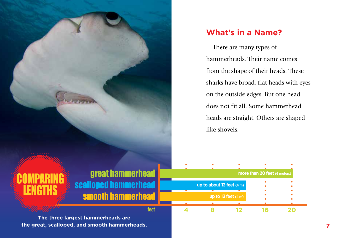**What's in a Name?**

There are many types of hammerheads. Their name comes from the shape of their heads. These sharks have broad, flat heads with eyes on the outside edges. But one head does not fit all. Some hammerhead heads are straight. Others are shaped like shovels.

**CUMPARING** LENGTHS great hammerhead scalloped hammerhead nammerh

**feet**

**more than 20 feet (6 meters) up to about 13 feet (4 m) up to 13 feet (4 m)**  $\bullet$ **4 8 12 16 20**

**The three largest hammerheads are the great, scalloped, and smooth hammerheads. 7**